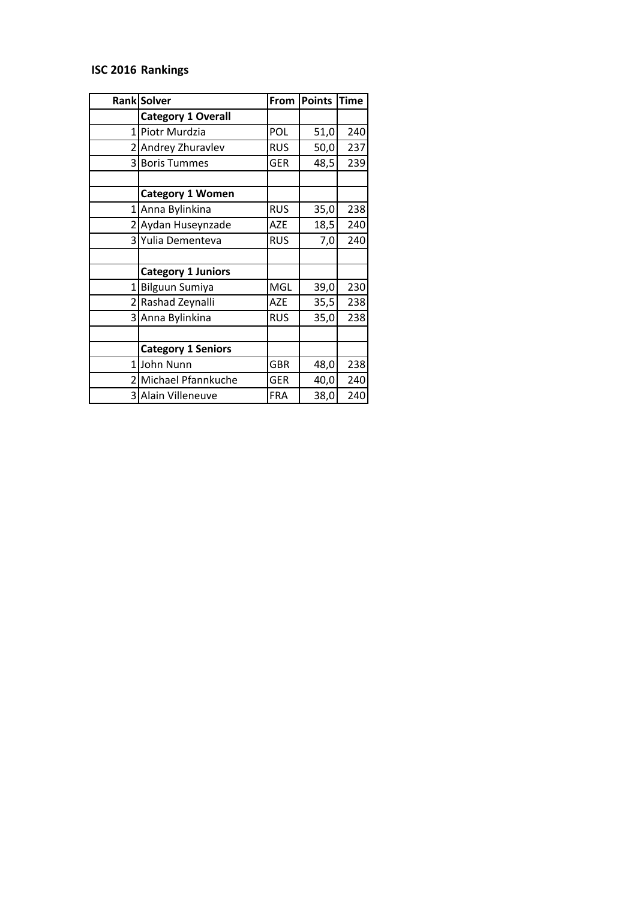## **ISC 2016 Rankings**

|                | Rank Solver               | From       | Points | Time |
|----------------|---------------------------|------------|--------|------|
|                | <b>Category 1 Overall</b> |            |        |      |
| $\mathbf{1}$   | Piotr Murdzia             | <b>POL</b> | 51,0   | 240  |
|                | 2 Andrey Zhuravlev        | <b>RUS</b> | 50,0   | 237  |
| $\overline{3}$ | <b>Boris Tummes</b>       | <b>GER</b> | 48,5   | 239  |
|                |                           |            |        |      |
|                | <b>Category 1 Women</b>   |            |        |      |
|                | 1 Anna Bylinkina          | <b>RUS</b> | 35,0   | 238  |
|                | 2 Aydan Huseynzade        | <b>AZE</b> | 18,5   | 240  |
|                | 3 Yulia Dementeva         | <b>RUS</b> | 7,0    | 240  |
|                |                           |            |        |      |
|                | <b>Category 1 Juniors</b> |            |        |      |
| 1              | <b>Bilguun Sumiya</b>     | <b>MGL</b> | 39,0   | 230  |
|                | 2 Rashad Zeynalli         | <b>AZE</b> | 35,5   | 238  |
|                | 3 Anna Bylinkina          | <b>RUS</b> | 35,0   | 238  |
|                |                           |            |        |      |
|                | <b>Category 1 Seniors</b> |            |        |      |
|                | 1 John Nunn               | <b>GBR</b> | 48,0   | 238  |
|                | 2 Michael Pfannkuche      | <b>GER</b> | 40,0   | 240  |
|                | 3 Alain Villeneuve        | <b>FRA</b> | 38,0   | 240  |